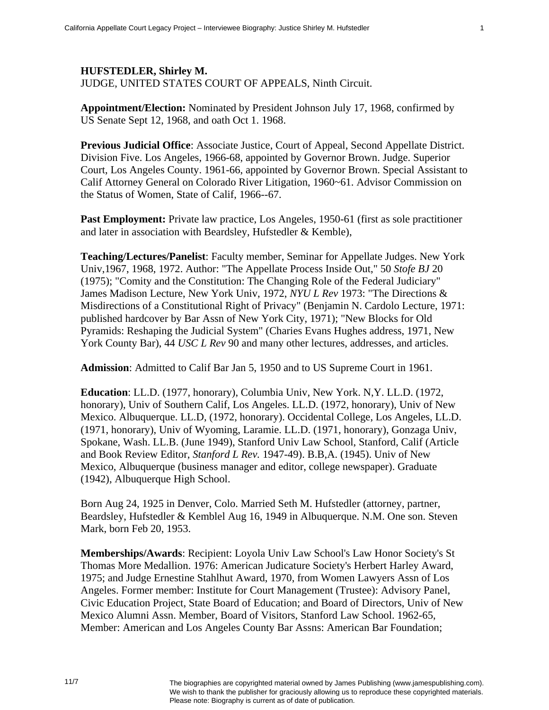**Appointment/Election:** Nominated by President Johnson July 17, 1968, confirmed by US Senate Sept 12, 1968, and oath Oct 1. 1968.

**Previous Judicial Office**: Associate Justice, Court of Appeal, Second Appellate District. Division Five. Los Angeles, 1966-68, appointed by Governor Brown. Judge. Superior Court, Los Angeles County. 1961-66, appointed by Governor Brown. Special Assistant to Calif Attorney General on Colorado River Litigation, 1960~61. Advisor Commission on the Status of Women, State of Calif, 1966--67.

**Past Employment:** Private law practice, Los Angeles, 1950-61 (first as sole practitioner and later in association with Beardsley, Hufstedler & Kemble),

**Teaching/Lectures/Panelist**: Faculty member, Seminar for Appellate Judges. New York Univ,1967, 1968, 1972. Author: "The Appellate Process Inside Out," 50 *Stofe BJ* 20 (1975); "Comity and the Constitution: The Changing Role of the Federal Judiciary" James Madison Lecture, New York Univ, 1972, *NYU L Rev* 1973: "The Directions & Misdirections of a Constitutional Right of Privacy" (Benjamin N. Cardolo Lecture, 1971: published hardcover by Bar Assn of New York City, 1971); "New Blocks for Old Pyramids: Reshaping the Judicial System" (Charies Evans Hughes address, 1971, New York County Bar), 44 *USC L Rev* 90 and many other lectures, addresses, and articles.

**Admission**: Admitted to Calif Bar Jan 5, 1950 and to US Supreme Court in 1961.

**Education**: LL.D. (1977, honorary), Columbia Univ, New York. N,Y. LL.D. (1972, honorary), Univ of Southern Calif, Los Angeles. LL.D. (1972, honorary), Univ of New Mexico. Albuquerque. LL.D, (1972, honorary). Occidental College, Los Angeles, LL.D. (1971, honorary), Univ of Wyoming, Laramie. LL.D. (1971, honorary), Gonzaga Univ, Spokane, Wash. LL.B. (June 1949), Stanford Univ Law School, Stanford, Calif (Article and Book Review Editor, *Stanford L Rev.* 1947-49). B.B,A. (1945). Univ of New Mexico, Albuquerque (business manager and editor, college newspaper). Graduate (1942), Albuquerque High School.

Born Aug 24, 1925 in Denver, Colo. Married Seth M. Hufstedler (attorney, partner, Beardsley, Hufstedler & Kemblel Aug 16, 1949 in Albuquerque. N.M. One son. Steven Mark, born Feb 20, 1953.

**Memberships/Awards**: Recipient: Loyola Univ Law School's Law Honor Society's St Thomas More Medallion. 1976: American Judicature Society's Herbert Harley Award, 1975; and Judge Ernestine Stahlhut Award, 1970, from Women Lawyers Assn of Los Angeles. Former member: Institute for Court Management (Trustee): Advisory Panel, Civic Education Project, State Board of Education; and Board of Directors, Univ of New Mexico Alumni Assn. Member, Board of Visitors, Stanford Law School. 1962-65, Member: American and Los Angeles County Bar Assns: American Bar Foundation;